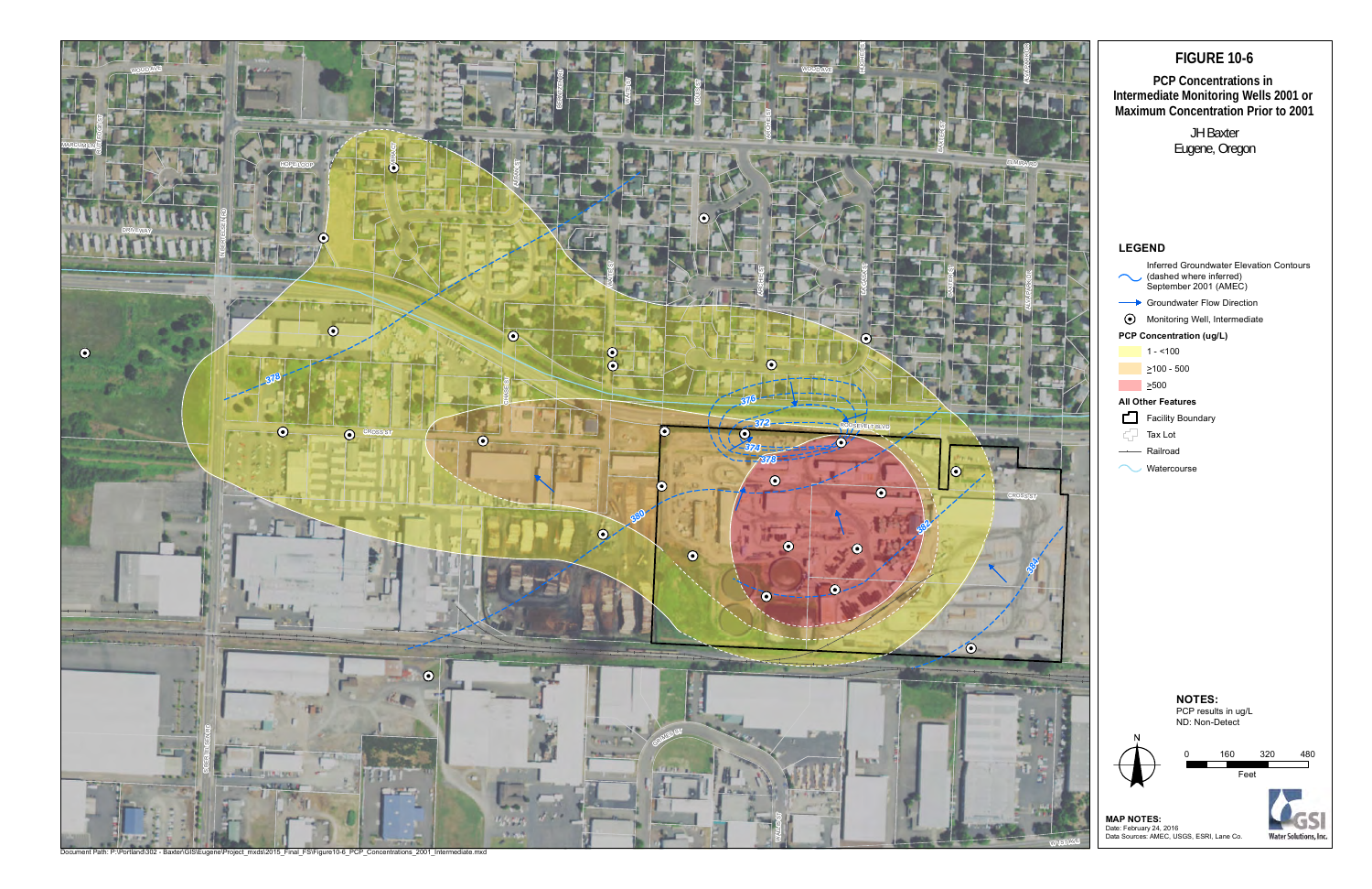

# **FIGURE 10-6 PCP Concentrations in Intermediate Monitoring Wells 2001 or Maximum Concentration Prior to 2001** JH Baxter Eugene, Oregon **LEGEND** Inferred Groundwater Elevation Contours (dashed where inferred) September 2001 (AMEC) Groundwater Flow Direction Monitoring Well, Intermediate **PCP Concentration (ug/L)**  $1 - 100$  $\geq 100 - 500$ >500 **All Other Features** Facility Boundary 52 Tax Lot Railroad **Watercourse NOTES:** PCP results in ug/L

0 160 320 480 Feet

**MAP NOTES:**<br>Date: February 24, 2016<br>Data Sources: AMEC, USGS, ESRI, Lane Co.



ND: Non-Detect